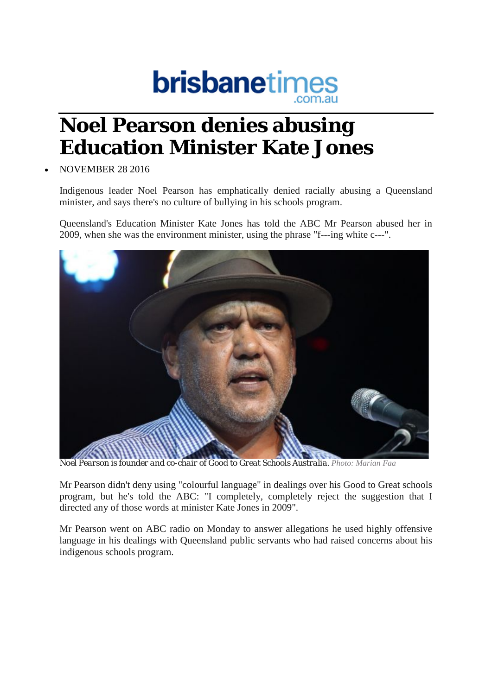

## **Noel Pearson denies abusing Education Minister Kate Jones**

## • NOVEMBER 28 2016

Indigenous leader Noel Pearson has emphatically denied racially abusing a Queensland minister, and says there's no culture of bullying in his schools program.

Queensland's Education Minister Kate Jones has told the ABC Mr Pearson abused her in 2009, when she was the environment minister, using the phrase "f---ing white c---".



*Noel Pearson is founder and co-chair of Good to Great Schools Australia. Photo: Marian Faa*

Mr Pearson didn't deny using "colourful language" in dealings over his Good to Great schools program, but he's told the ABC: "I completely, completely reject the suggestion that I directed any of those words at minister Kate Jones in 2009".

Mr Pearson went on ABC radio on Monday to answer allegations he used highly offensive language in his dealings with Queensland public servants who had raised concerns about his indigenous schools program.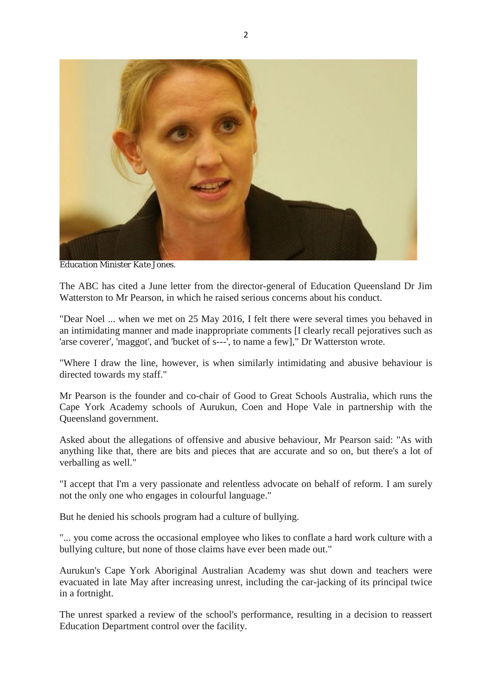

*Education Minister Kate Jones.*

The ABC has cited a June letter from the director-general of Education Queensland Dr Jim Watterston to Mr Pearson, in which he raised serious concerns about his conduct.

"Dear Noel ... when we met on 25 May 2016, I felt there were several times you behaved in an intimidating manner and made inappropriate comments [I clearly recall pejoratives such as 'arse coverer', 'maggot', and 'bucket of s---', to name a few]," Dr Watterston wrote.

"Where I draw the line, however, is when similarly intimidating and abusive behaviour is directed towards my staff."

Mr Pearson is the founder and co-chair of Good to Great Schools Australia, which runs the Cape York Academy schools of Aurukun, Coen and Hope Vale in partnership with the Queensland government.

Asked about the allegations of offensive and abusive behaviour, Mr Pearson said: "As with anything like that, there are bits and pieces that are accurate and so on, but there's a lot of verballing as well."

"I accept that I'm a very passionate and relentless advocate on behalf of reform. I am surely not the only one who engages in colourful language."

But he denied his schools program had a culture of bullying.

"... you come across the occasional employee who likes to conflate a hard work culture with a bullying culture, but none of those claims have ever been made out."

Aurukun's Cape York Aboriginal Australian Academy was shut down and teachers were evacuated in late May after increasing unrest, including the car-jacking of its principal twice in a fortnight.

The unrest sparked a review of the school's performance, resulting in a decision to reassert Education Department control over the facility.